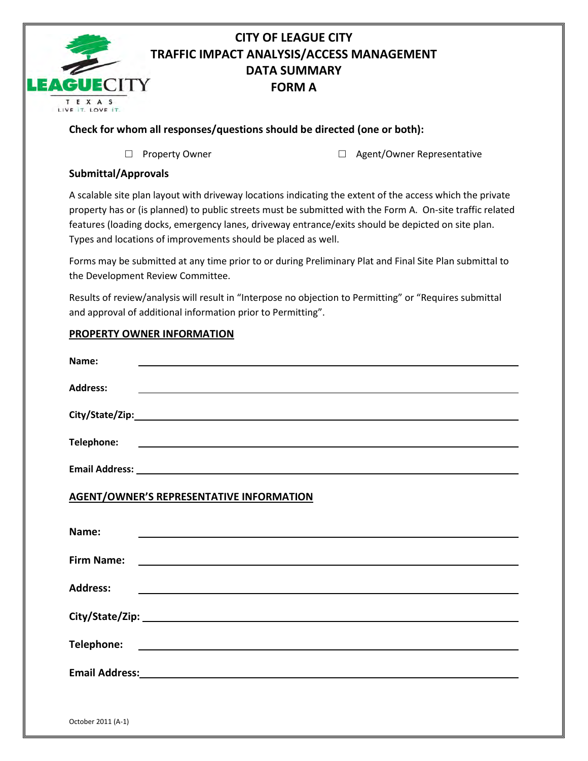

## **CITY OF LEAGUE CITY TRAFFIC IMPACT ANALYSIS/ACCESS MANAGEMENT DATA SUMMARY FORM A**

## **Check for whom all responses/questions should be directed (one or both):**

□ Property Owner □ Agent/Owner Representative

## **Submittal/Approvals**

A scalable site plan layout with driveway locations indicating the extent of the access which the private property has or (is planned) to public streets must be submitted with the Form A. On-site traffic related features (loading docks, emergency lanes, driveway entrance/exits should be depicted on site plan. Types and locations of improvements should be placed as well.

Forms may be submitted at any time prior to or during Preliminary Plat and Final Site Plan submittal to the Development Review Committee.

Results of review/analysis will result in "Interpose no objection to Permitting" or "Requires submittal and approval of additional information prior to Permitting".

## **PROPERTY OWNER INFORMATION**

| Name:<br><u> 1989 - Johann Harry Harry Harry Harry Harry Harry Harry Harry Harry Harry Harry Harry Harry Harry Harry Harry</u> |
|--------------------------------------------------------------------------------------------------------------------------------|
| <b>Address:</b><br>,我们也不会有什么。""我们的人,我们也不会有什么?""我们的人,我们也不会有什么?""我们的人,我们也不会有什么?""我们的人,我们也不会有什么?""我们的人                            |
|                                                                                                                                |
|                                                                                                                                |
|                                                                                                                                |
| <b>AGENT/OWNER'S REPRESENTATIVE INFORMATION</b>                                                                                |
| Name:                                                                                                                          |
| <b>Firm Name:</b>                                                                                                              |
| <b>Address:</b><br><u> 1980 - John Stone, amerikansk politiker (d. 1980)</u>                                                   |
|                                                                                                                                |
|                                                                                                                                |
|                                                                                                                                |
|                                                                                                                                |